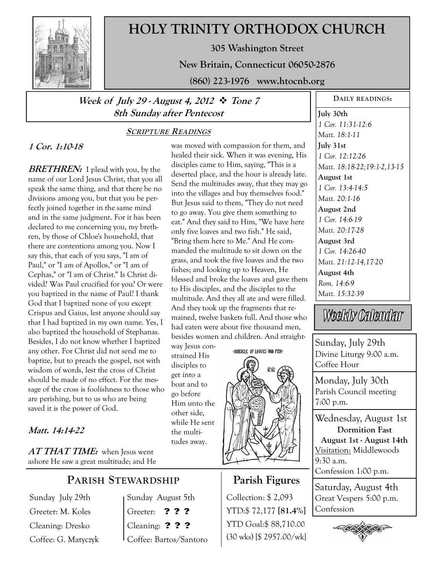

# **HOLY TRINITY ORTHODOX CHURCH**

**305 Washington Street** 

**New Britain, Connecticut 06050-2876** 

**(860) 223-1976 www.htocnb.org** 

# **Week of July 29 - August 4, 2012 Tone 7 8th Sunday after Pentecost**

### **SCRIPTURE READINGS**

# **1 Cor. 1:10-18**

**BRETHREN:** I plead with you, by the name of our Lord Jesus Christ, that you all speak the same thing, and that there be no divisions among you, but that you be perfectly joined together in the same mind and in the same judgment. For it has been declared to me concerning you, my brethren, by those of Chloe's household, that there are contentions among you. Now I say this, that each of you says, "I am of Paul," or "I am of Apollos," or "I am of Cephas," or "I am of Christ." Is Christ divided? Was Paul crucified for you? Or were you baptized in the name of Paul? I thank God that I baptized none of you except Crispus and Gaius, lest anyone should say that I had baptized in my own name. Yes, I also baptized the household of Stephanas. Besides, I do not know whether I baptized any other. For Christ did not send me to baptize, but to preach the gospel, not with wisdom of words, lest the cross of Christ should be made of no effect. For the message of the cross is foolishness to those who are perishing, but to us who are being saved it is the power of God.

### **Matt. 14:14-22**

**AT THAT TIME:** when Jesus went ashore He saw a great multitude; and He

# **PARISH STEWARDSHIP**

Sunday July 29th Greeter: M. Koles Cleaning: Dresko Coffee: G. Matyczyk Sunday August 5th Greeter: **? ? ?**  Cleaning: **? ? ?** Coffee: Bartos/Santoro

was moved with compassion for them, and healed their sick. When it was evening, His disciples came to Him, saying, "This is a deserted place, and the hour is already late. Send the multitudes away, that they may go into the villages and buy themselves food." But Jesus said to them, "They do not need to go away. You give them something to eat." And they said to Him, "We have here only five loaves and two fish." He said, "Bring them here to Me." And He commanded the multitude to sit down on the grass, and took the five loaves and the two fishes; and looking up to Heaven, He blessed and broke the loaves and gave them to His disciples, and the disciples to the multitude. And they all ate and were filled. And they took up the fragments that remained, twelve baskets full. And those who had eaten were about five thousand men, besides women and children. And straight-

way Jesus constrained His disciples to get into a boat and to go before Him unto the other side, while He sent the multitudes away.

-Miracle of Loaves and Fish-



# **Parish Figures**

Collection: \$ 2,093 YTD:\$ 72,177 **[81.4%]** YTD Goal:\$ 88,710.00 (30 wks) [\$ 2957.00/wk] **DAILY READINGS:** 

**July 30th**  *1 Cor. 11:31-12:6 Matt. 18:1-11*  **July 31st**  *1 Cor. 12:12-26 Matt. 18:18-22;19:1-2,13-15*  **August 1st**  *1 Cor. 13:4-14:5 Matt. 20:1-16*  **August 2nd**  *1 Cor. 14:6-19 Matt. 20:17-28*  **August 3rd**  *1 Cor. 14:26-40 Matt. 21:12-14,17-20*  **August 4th**  *Rom. 14:6-9 Matt. 15:32-39* 

Weekly Calendar

Sunday, July 29th Divine Liturgy 9:00 a.m. Coffee Hour

Monday, July 30th Parish Council meeting 7:00 p.m.

Wednesday, August 1st **Dormition Fast August 1st - August 14th**  Visitation: Middlewoods  $9:30$  a.m.

Confession 1:00 p.m.

Saturday, August 4th Great Vespers 5:00 p.m. Confession